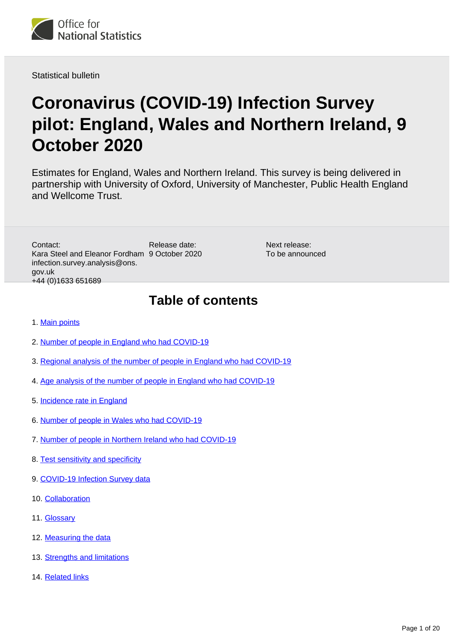

Statistical bulletin

# **Coronavirus (COVID-19) Infection Survey pilot: England, Wales and Northern Ireland, 9 October 2020**

Estimates for England, Wales and Northern Ireland. This survey is being delivered in partnership with University of Oxford, University of Manchester, Public Health England and Wellcome Trust.

Release date: Kara Steel and Eleanor Fordham 9 October 2020 Contact: infection.survey.analysis@ons. gov.uk +44 (0)1633 651689

Next release: To be announced

## **Table of contents**

- 1. [Main points](#page-1-0)
- 2. [Number of people in England who had COVID-19](#page-2-0)
- 3. [Regional analysis of the number of people in England who had COVID-19](#page-5-0)
- 4. [Age analysis of the number of people in England who had COVID-19](#page-7-0)
- 5. [Incidence rate in England](#page-8-0)
- 6. [Number of people in Wales who had COVID-19](#page-9-0)
- 7. [Number of people in Northern Ireland who had COVID-19](#page-12-0)
- 8. [Test sensitivity and specificity](#page-13-0)
- 9. [COVID-19 Infection Survey data](#page-14-0)
- 10. [Collaboration](#page-14-1)
- 11. [Glossary](#page-14-2)
- 12. [Measuring the data](#page-15-0)
- 13. [Strengths and limitations](#page-19-0)
- 14. [Related links](#page-19-1)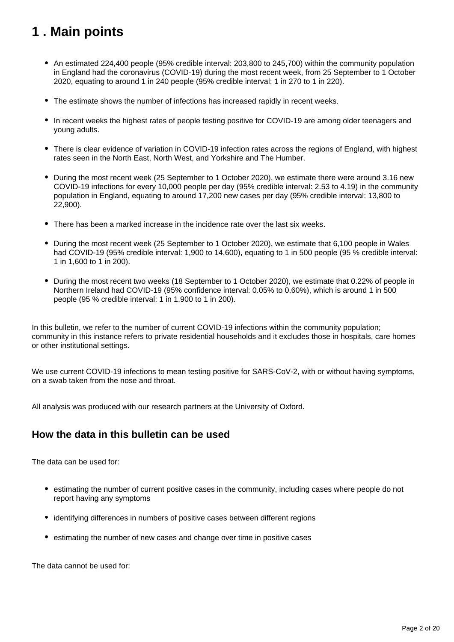# <span id="page-1-0"></span>**1 . Main points**

- An estimated 224,400 people (95% credible interval: 203,800 to 245,700) within the community population in England had the coronavirus (COVID-19) during the most recent week, from 25 September to 1 October 2020, equating to around 1 in 240 people (95% credible interval: 1 in 270 to 1 in 220).
- The estimate shows the number of infections has increased rapidly in recent weeks.
- In recent weeks the highest rates of people testing positive for COVID-19 are among older teenagers and young adults.
- There is clear evidence of variation in COVID-19 infection rates across the regions of England, with highest rates seen in the North East, North West, and Yorkshire and The Humber.
- During the most recent week (25 September to 1 October 2020), we estimate there were around 3.16 new COVID-19 infections for every 10,000 people per day (95% credible interval: 2.53 to 4.19) in the community population in England, equating to around 17,200 new cases per day (95% credible interval: 13,800 to 22,900).
- There has been a marked increase in the incidence rate over the last six weeks.
- During the most recent week (25 September to 1 October 2020), we estimate that 6,100 people in Wales had COVID-19 (95% credible interval: 1,900 to 14,600), equating to 1 in 500 people (95 % credible interval: 1 in 1,600 to 1 in 200).
- During the most recent two weeks (18 September to 1 October 2020), we estimate that 0.22% of people in Northern Ireland had COVID-19 (95% confidence interval: 0.05% to 0.60%), which is around 1 in 500 people (95 % credible interval: 1 in 1,900 to 1 in 200).

In this bulletin, we refer to the number of current COVID-19 infections within the community population; community in this instance refers to private residential households and it excludes those in hospitals, care homes or other institutional settings.

We use current COVID-19 infections to mean testing positive for SARS-CoV-2, with or without having symptoms, on a swab taken from the nose and throat.

All analysis was produced with our research partners at the University of Oxford.

### **How the data in this bulletin can be used**

The data can be used for:

- estimating the number of current positive cases in the community, including cases where people do not report having any symptoms
- identifying differences in numbers of positive cases between different regions
- estimating the number of new cases and change over time in positive cases

The data cannot be used for: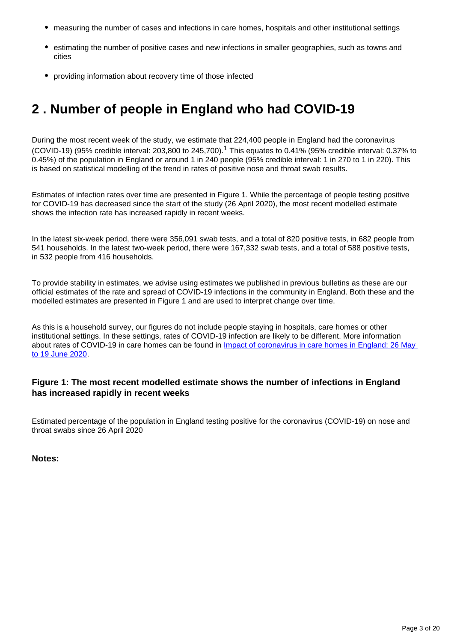- measuring the number of cases and infections in care homes, hospitals and other institutional settings
- estimating the number of positive cases and new infections in smaller geographies, such as towns and cities
- providing information about recovery time of those infected

# <span id="page-2-0"></span>**2 . Number of people in England who had COVID-19**

During the most recent week of the study, we estimate that 224,400 people in England had the coronavirus (COVID-19) (95% credible interval: 203,800 to 245,700).<sup>1</sup> This equates to 0.41% (95% credible interval: 0.37% to 0.45%) of the population in England or around 1 in 240 people (95% credible interval: 1 in 270 to 1 in 220). This is based on statistical modelling of the trend in rates of positive nose and throat swab results.

Estimates of infection rates over time are presented in Figure 1. While the percentage of people testing positive for COVID-19 has decreased since the start of the study (26 April 2020), the most recent modelled estimate shows the infection rate has increased rapidly in recent weeks.

In the latest six-week period, there were 356,091 swab tests, and a total of 820 positive tests, in 682 people from 541 households. In the latest two-week period, there were 167,332 swab tests, and a total of 588 positive tests, in 532 people from 416 households.

To provide stability in estimates, we advise using estimates we published in previous bulletins as these are our official estimates of the rate and spread of COVID-19 infections in the community in England. Both these and the modelled estimates are presented in Figure 1 and are used to interpret change over time.

As this is a household survey, our figures do not include people staying in hospitals, care homes or other institutional settings. In these settings, rates of COVID-19 infection are likely to be different. More information about rates of COVID-19 in care homes can be found in *Impact of coronavirus in care homes in England: 26 May* [to 19 June 2020](https://www.ons.gov.uk/peoplepopulationandcommunity/healthandsocialcare/conditionsanddiseases/articles/impactofcoronavirusincarehomesinenglandvivaldi/latest).

### **Figure 1: The most recent modelled estimate shows the number of infections in England has increased rapidly in recent weeks**

Estimated percentage of the population in England testing positive for the coronavirus (COVID-19) on nose and throat swabs since 26 April 2020

**Notes:**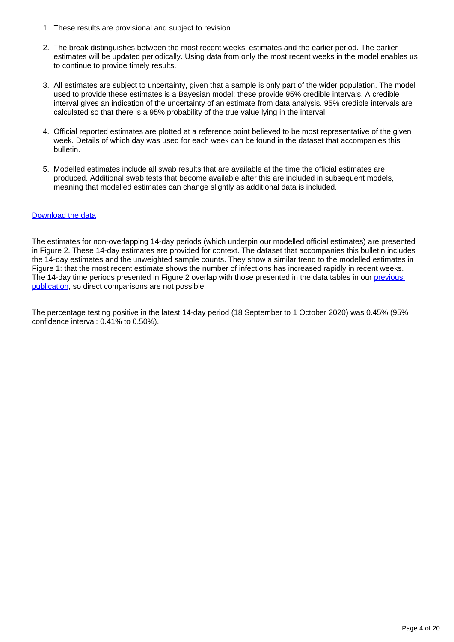- 1. These results are provisional and subject to revision.
- 2. The break distinguishes between the most recent weeks' estimates and the earlier period. The earlier estimates will be updated periodically. Using data from only the most recent weeks in the model enables us to continue to provide timely results.
- 3. All estimates are subject to uncertainty, given that a sample is only part of the wider population. The model used to provide these estimates is a Bayesian model: these provide 95% credible intervals. A credible interval gives an indication of the uncertainty of an estimate from data analysis. 95% credible intervals are calculated so that there is a 95% probability of the true value lying in the interval.
- 4. Official reported estimates are plotted at a reference point believed to be most representative of the given week. Details of which day was used for each week can be found in the dataset that accompanies this bulletin.
- 5. Modelled estimates include all swab results that are available at the time the official estimates are produced. Additional swab tests that become available after this are included in subsequent models, meaning that modelled estimates can change slightly as additional data is included.

#### [Download the data](https://www.ons.gov.uk/visualisations/dvc997/prvwrapper/datadownload.xlsx)

The estimates for non-overlapping 14-day periods (which underpin our modelled official estimates) are presented in Figure 2. These 14-day estimates are provided for context. The dataset that accompanies this bulletin includes the 14-day estimates and the unweighted sample counts. They show a similar trend to the modelled estimates in Figure 1: that the most recent estimate shows the number of infections has increased rapidly in recent weeks. The 14-day time periods presented in Figure 2 overlap with those presented in the data tables in our previous [publication](https://www.ons.gov.uk/peoplepopulationandcommunity/healthandsocialcare/conditionsanddiseases/bulletins/coronaviruscovid19infectionsurveypilot/englandwalesandnorthernireland2october2020), so direct comparisons are not possible.

The percentage testing positive in the latest 14-day period (18 September to 1 October 2020) was 0.45% (95% confidence interval: 0.41% to 0.50%).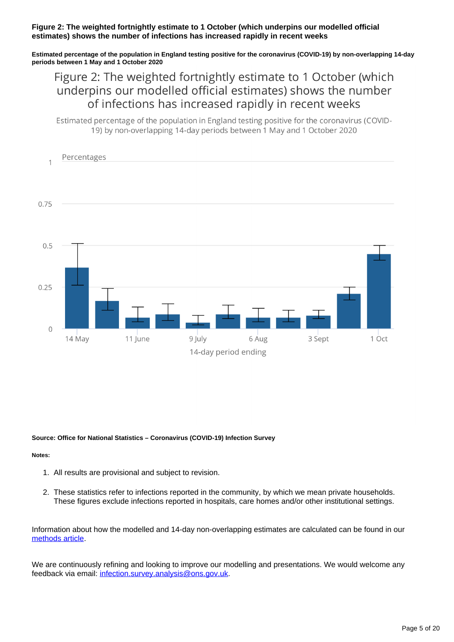#### **Figure 2: The weighted fortnightly estimate to 1 October (which underpins our modelled official estimates) shows the number of infections has increased rapidly in recent weeks**

**Estimated percentage of the population in England testing positive for the coronavirus (COVID-19) by non-overlapping 14-day periods between 1 May and 1 October 2020**

## Figure 2: The weighted fortnightly estimate to 1 October (which underpins our modelled official estimates) shows the number of infections has increased rapidly in recent weeks

Estimated percentage of the population in England testing positive for the coronavirus (COVID-19) by non-overlapping 14-day periods between 1 May and 1 October 2020



#### **Source: Office for National Statistics – Coronavirus (COVID-19) Infection Survey**

#### **Notes:**

- 1. All results are provisional and subject to revision.
- 2. These statistics refer to infections reported in the community, by which we mean private households. These figures exclude infections reported in hospitals, care homes and/or other institutional settings.

Information about how the modelled and 14-day non-overlapping estimates are calculated can be found in our [methods article](https://www.ons.gov.uk/peoplepopulationandcommunity/healthandsocialcare/conditionsanddiseases/methodologies/covid19infectionsurveypilotmethodsandfurtherinformation#14-day-estimates).

We are continuously refining and looking to improve our modelling and presentations. We would welcome any feedback via email: [infection.survey.analysis@ons.gov.uk](mailto:infection.survey.analysis@ons.gov.uk).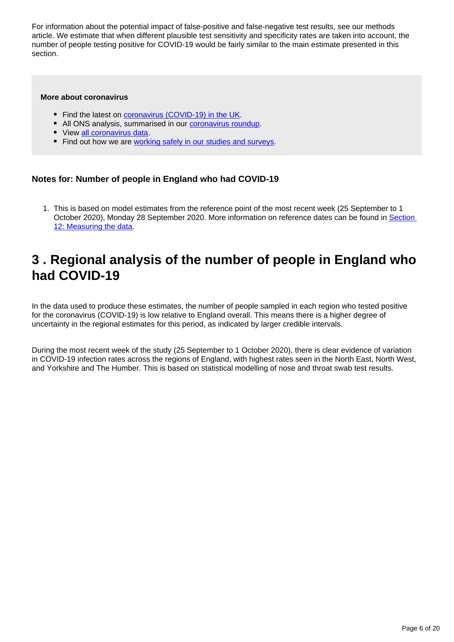For information about the potential impact of false-positive and false-negative test results, see our methods article. We estimate that when different plausible test sensitivity and specificity rates are taken into account, the number of people testing positive for COVID-19 would be fairly similar to the main estimate presented in this section.

#### **More about coronavirus**

- Find the latest on [coronavirus \(COVID-19\) in the UK.](https://www.ons.gov.uk/peoplepopulationandcommunity/healthandsocialcare/conditionsanddiseases)
- All ONS analysis, summarised in our [coronavirus roundup.](https://www.ons.gov.uk/peoplepopulationandcommunity/healthandsocialcare/conditionsanddiseases/articles/coronaviruscovid19roundup/latest)
- View [all coronavirus data](https://www.ons.gov.uk/peoplepopulationandcommunity/healthandsocialcare/conditionsanddiseases/datalist).
- Find out how we are [working safely in our studies and surveys.](https://www.ons.gov.uk/news/statementsandletters/ensuringyoursafetyduringcovid19)

#### **Notes for: Number of people in England who had COVID-19**

1. This is based on model estimates from the reference point of the most recent week (25 September to 1 October 2020), Monday 28 September 2020. More information on reference dates can be found in Section [12: Measuring the data.](https://www.ons.gov.uk/peoplepopulationandcommunity/healthandsocialcare/conditionsanddiseases/bulletins/coronaviruscovid19infectionsurveypilot/englandwalesandnorthernireland2october2020#measuring-the-data)

## <span id="page-5-0"></span>**3 . Regional analysis of the number of people in England who had COVID-19**

In the data used to produce these estimates, the number of people sampled in each region who tested positive for the coronavirus (COVID-19) is low relative to England overall. This means there is a higher degree of uncertainty in the regional estimates for this period, as indicated by larger credible intervals.

During the most recent week of the study (25 September to 1 October 2020), there is clear evidence of variation in COVID-19 infection rates across the regions of England, with highest rates seen in the North East, North West, and Yorkshire and The Humber. This is based on statistical modelling of nose and throat swab test results.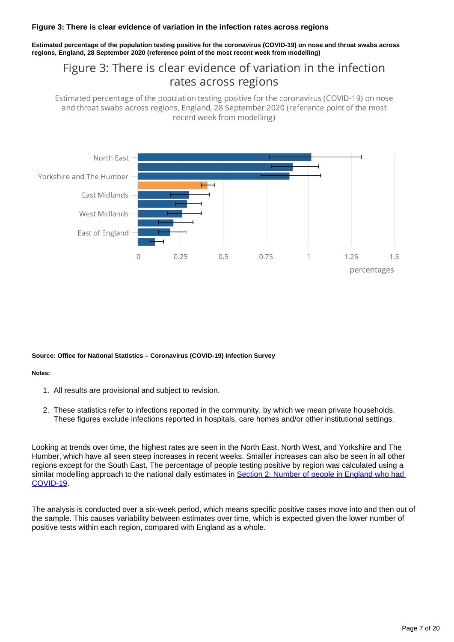#### **Figure 3: There is clear evidence of variation in the infection rates across regions**

**Estimated percentage of the population testing positive for the coronavirus (COVID-19) on nose and throat swabs across regions, England, 28 September 2020 (reference point of the most recent week from modelling)**

## Figure 3: There is clear evidence of variation in the infection rates across regions

Estimated percentage of the population testing positive for the coronavirus (COVID-19) on nose and throat swabs across regions, England, 28 September 2020 (reference point of the most recent week from modelling)



#### **Source: Office for National Statistics – Coronavirus (COVID-19) Infection Survey**

#### **Notes:**

- 1. All results are provisional and subject to revision.
- 2. These statistics refer to infections reported in the community, by which we mean private households. These figures exclude infections reported in hospitals, care homes and/or other institutional settings.

Looking at trends over time, the highest rates are seen in the North East, North West, and Yorkshire and The Humber, which have all seen steep increases in recent weeks. Smaller increases can also be seen in all other regions except for the South East. The percentage of people testing positive by region was calculated using a similar modelling approach to the national daily estimates in Section 2: Number of people in England who had [COVID-19](https://www.ons.gov.uk/peoplepopulationandcommunity/healthandsocialcare/conditionsanddiseases/bulletins/coronaviruscovid19infectionsurveypilot/englandwalesandnorthernireland2october2020#number-of-people-in-england-who-had-covid-19).

The analysis is conducted over a six-week period, which means specific positive cases move into and then out of the sample. This causes variability between estimates over time, which is expected given the lower number of positive tests within each region, compared with England as a whole.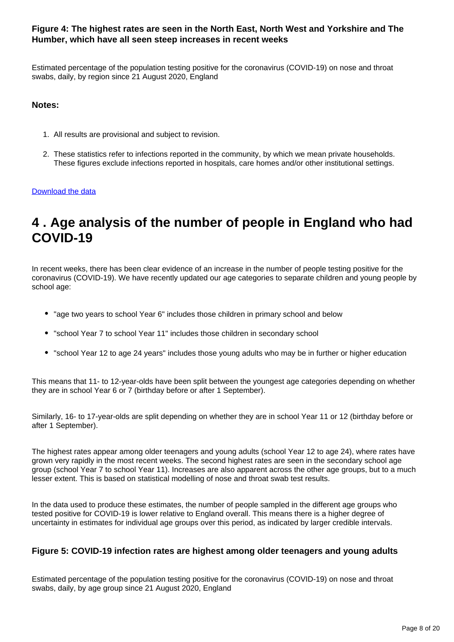#### **Figure 4: The highest rates are seen in the North East, North West and Yorkshire and The Humber, which have all seen steep increases in recent weeks**

Estimated percentage of the population testing positive for the coronavirus (COVID-19) on nose and throat swabs, daily, by region since 21 August 2020, England

#### **Notes:**

- 1. All results are provisional and subject to revision.
- 2. These statistics refer to infections reported in the community, by which we mean private households. These figures exclude infections reported in hospitals, care homes and/or other institutional settings.

#### [Download the data](https://www.ons.gov.uk/visualisations/dvc997/region/datadownload.xlsx)

## <span id="page-7-0"></span>**4 . Age analysis of the number of people in England who had COVID-19**

In recent weeks, there has been clear evidence of an increase in the number of people testing positive for the coronavirus (COVID-19). We have recently updated our age categories to separate children and young people by school age:

- "age two years to school Year 6" includes those children in primary school and below
- "school Year 7 to school Year 11" includes those children in secondary school
- "school Year 12 to age 24 years" includes those young adults who may be in further or higher education

This means that 11- to 12-year-olds have been split between the youngest age categories depending on whether they are in school Year 6 or 7 (birthday before or after 1 September).

Similarly, 16- to 17-year-olds are split depending on whether they are in school Year 11 or 12 (birthday before or after 1 September).

The highest rates appear among older teenagers and young adults (school Year 12 to age 24), where rates have grown very rapidly in the most recent weeks. The second highest rates are seen in the secondary school age group (school Year 7 to school Year 11). Increases are also apparent across the other age groups, but to a much lesser extent. This is based on statistical modelling of nose and throat swab test results.

In the data used to produce these estimates, the number of people sampled in the different age groups who tested positive for COVID-19 is lower relative to England overall. This means there is a higher degree of uncertainty in estimates for individual age groups over this period, as indicated by larger credible intervals.

#### **Figure 5: COVID-19 infection rates are highest among older teenagers and young adults**

Estimated percentage of the population testing positive for the coronavirus (COVID-19) on nose and throat swabs, daily, by age group since 21 August 2020, England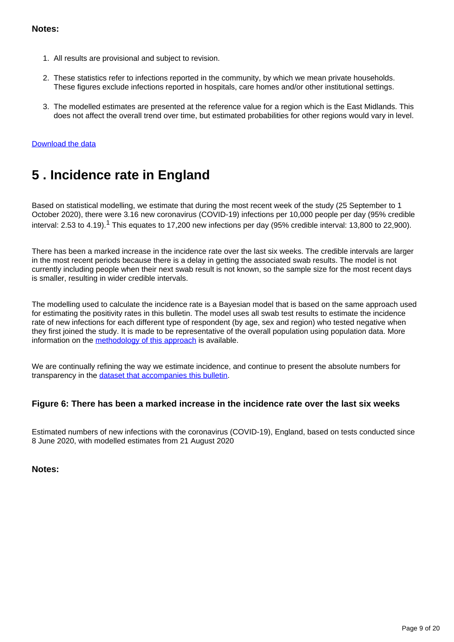#### **Notes:**

- 1. All results are provisional and subject to revision.
- 2. These statistics refer to infections reported in the community, by which we mean private households. These figures exclude infections reported in hospitals, care homes and/or other institutional settings.
- 3. The modelled estimates are presented at the reference value for a region which is the East Midlands. This does not affect the overall trend over time, but estimated probabilities for other regions would vary in level.

#### [Download the data](https://www.ons.gov.uk/visualisations/dvc997/age/datadownload.xlsx)

## <span id="page-8-0"></span>**5 . Incidence rate in England**

Based on statistical modelling, we estimate that during the most recent week of the study (25 September to 1 October 2020), there were 3.16 new coronavirus (COVID-19) infections per 10,000 people per day (95% credible interval: 2.53 to 4.19).<sup>1</sup> This equates to 17,200 new infections per day (95% credible interval: 13,800 to 22,900).

There has been a marked increase in the incidence rate over the last six weeks. The credible intervals are larger in the most recent periods because there is a delay in getting the associated swab results. The model is not currently including people when their next swab result is not known, so the sample size for the most recent days is smaller, resulting in wider credible intervals.

The modelling used to calculate the incidence rate is a Bayesian model that is based on the same approach used for estimating the positivity rates in this bulletin. The model uses all swab test results to estimate the incidence rate of new infections for each different type of respondent (by age, sex and region) who tested negative when they first joined the study. It is made to be representative of the overall population using population data. More information on the [methodology of this approach](https://www.ons.gov.uk/peoplepopulationandcommunity/healthandsocialcare/conditionsanddiseases/methodologies/covid19infectionsurveypilotmethodsandfurtherinformation) is available.

We are continually refining the way we estimate incidence, and continue to present the absolute numbers for transparency in the [dataset that accompanies this bulletin.](https://www.ons.gov.uk/peoplepopulationandcommunity/healthandsocialcare/conditionsanddiseases/datasets/coronaviruscovid19infectionsurveydata)

#### **Figure 6: There has been a marked increase in the incidence rate over the last six weeks**

Estimated numbers of new infections with the coronavirus (COVID-19), England, based on tests conducted since 8 June 2020, with modelled estimates from 21 August 2020

#### **Notes:**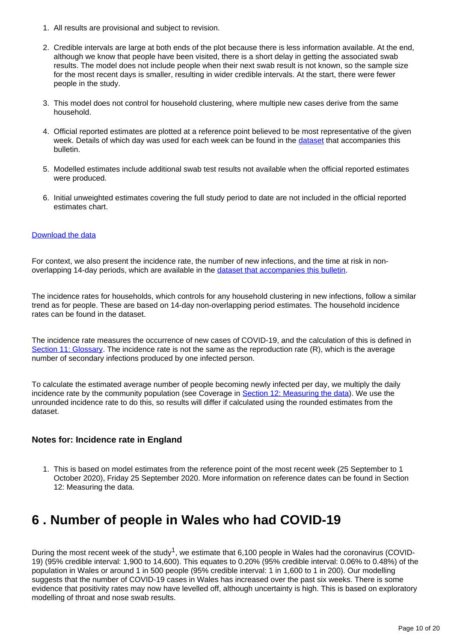- 1. All results are provisional and subject to revision.
- 2. Credible intervals are large at both ends of the plot because there is less information available. At the end, although we know that people have been visited, there is a short delay in getting the associated swab results. The model does not include people when their next swab result is not known, so the sample size for the most recent days is smaller, resulting in wider credible intervals. At the start, there were fewer people in the study.
- 3. This model does not control for household clustering, where multiple new cases derive from the same household.
- 4. Official reported estimates are plotted at a reference point believed to be most representative of the given week. Details of which day was used for each week can be found in the [dataset](https://www.ons.gov.uk/peoplepopulationandcommunity/healthandsocialcare/conditionsanddiseases/datasets/coronaviruscovid19infectionsurveydata) that accompanies this bulletin.
- 5. Modelled estimates include additional swab test results not available when the official reported estimates were produced.
- 6. Initial unweighted estimates covering the full study period to date are not included in the official reported estimates chart.

#### [Download the data](https://www.ons.gov.uk/visualisations/dvc997/incwrapper/datadownload.xlsx)

For context, we also present the incidence rate, the number of new infections, and the time at risk in nonoverlapping 14-day periods, which are available in the [dataset that accompanies this bulletin](https://www.ons.gov.uk/peoplepopulationandcommunity/healthandsocialcare/conditionsanddiseases/datasets/coronaviruscovid19infectionsurveydata).

The incidence rates for households, which controls for any household clustering in new infections, follow a similar trend as for people. These are based on 14-day non-overlapping period estimates. The household incidence rates can be found in the dataset.

The incidence rate measures the occurrence of new cases of COVID-19, and the calculation of this is defined in [Section 11: Glossary.](https://www.ons.gov.uk/peoplepopulationandcommunity/healthandsocialcare/conditionsanddiseases/bulletins/coronaviruscovid19infectionsurveypilot/englandwalesandnorthernireland2october2020#glossary) The incidence rate is not the same as the reproduction rate (R), which is the average number of secondary infections produced by one infected person.

To calculate the estimated average number of people becoming newly infected per day, we multiply the daily incidence rate by the community population (see Coverage in [Section 12: Measuring the data\)](https://www.ons.gov.uk/peoplepopulationandcommunity/healthandsocialcare/conditionsanddiseases/bulletins/coronaviruscovid19infectionsurveypilot/englandwalesandnorthernireland2october2020#measuring-the-data). We use the unrounded incidence rate to do this, so results will differ if calculated using the rounded estimates from the dataset.

#### **Notes for: Incidence rate in England**

1. This is based on model estimates from the reference point of the most recent week (25 September to 1 October 2020), Friday 25 September 2020. More information on reference dates can be found in Section 12: Measuring the data.

# <span id="page-9-0"></span>**6 . Number of people in Wales who had COVID-19**

During the most recent week of the study<sup>1</sup>, we estimate that 6,100 people in Wales had the coronavirus (COVID-19) (95% credible interval: 1,900 to 14,600). This equates to 0.20% (95% credible interval: 0.06% to 0.48%) of the population in Wales or around 1 in 500 people (95% credible interval: 1 in 1,600 to 1 in 200). Our modelling suggests that the number of COVID-19 cases in Wales has increased over the past six weeks. There is some evidence that positivity rates may now have levelled off, although uncertainty is high. This is based on exploratory modelling of throat and nose swab results.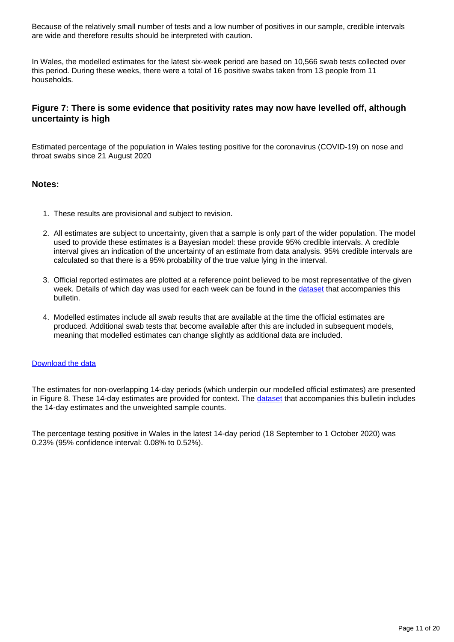Because of the relatively small number of tests and a low number of positives in our sample, credible intervals are wide and therefore results should be interpreted with caution.

In Wales, the modelled estimates for the latest six-week period are based on 10,566 swab tests collected over this period. During these weeks, there were a total of 16 positive swabs taken from 13 people from 11 households.

#### **Figure 7: There is some evidence that positivity rates may now have levelled off, although uncertainty is high**

Estimated percentage of the population in Wales testing positive for the coronavirus (COVID-19) on nose and throat swabs since 21 August 2020

#### **Notes:**

- 1. These results are provisional and subject to revision.
- 2. All estimates are subject to uncertainty, given that a sample is only part of the wider population. The model used to provide these estimates is a Bayesian model: these provide 95% credible intervals. A credible interval gives an indication of the uncertainty of an estimate from data analysis. 95% credible intervals are calculated so that there is a 95% probability of the true value lying in the interval.
- 3. Official reported estimates are plotted at a reference point believed to be most representative of the given week. Details of which day was used for each week can be found in the [dataset](https://www.ons.gov.uk/peoplepopulationandcommunity/healthandsocialcare/conditionsanddiseases/datasets/coronaviruscovid19infectionsurveydata) that accompanies this bulletin.
- 4. Modelled estimates include all swab results that are available at the time the official estimates are produced. Additional swab tests that become available after this are included in subsequent models, meaning that modelled estimates can change slightly as additional data are included.

#### [Download the data](https://www.ons.gov.uk/visualisations/dvc1008/prvwaleswrapper/datadownload.xlsx)

The estimates for non-overlapping 14-day periods (which underpin our modelled official estimates) are presented in Figure 8. These 14-day estimates are provided for context. The [dataset](https://www.ons.gov.uk/peoplepopulationandcommunity/healthandsocialcare/conditionsanddiseases/datasets/coronaviruscovid19infectionsurveydata) that accompanies this bulletin includes the 14-day estimates and the unweighted sample counts.

The percentage testing positive in Wales in the latest 14-day period (18 September to 1 October 2020) was 0.23% (95% confidence interval: 0.08% to 0.52%).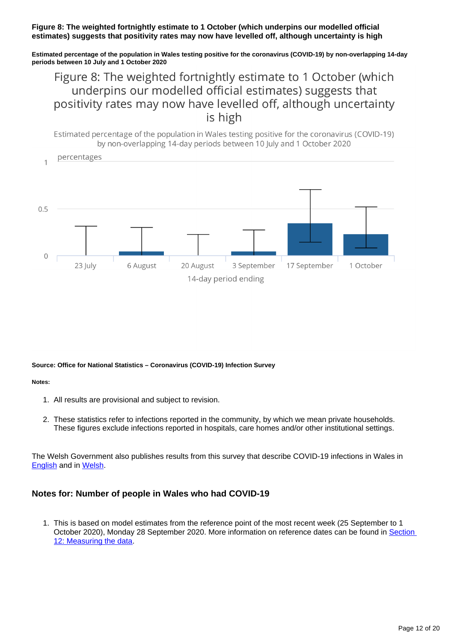#### **Figure 8: The weighted fortnightly estimate to 1 October (which underpins our modelled official estimates) suggests that positivity rates may now have levelled off, although uncertainty is high**

**Estimated percentage of the population in Wales testing positive for the coronavirus (COVID-19) by non-overlapping 14-day periods between 10 July and 1 October 2020**

## Figure 8: The weighted fortnightly estimate to 1 October (which underpins our modelled official estimates) suggests that positivity rates may now have levelled off, although uncertainty is high

Estimated percentage of the population in Wales testing positive for the coronavirus (COVID-19) by non-overlapping 14-day periods between 10 July and 1 October 2020



**Source: Office for National Statistics – Coronavirus (COVID-19) Infection Survey**

**Notes:**

- 1. All results are provisional and subject to revision.
- 2. These statistics refer to infections reported in the community, by which we mean private households. These figures exclude infections reported in hospitals, care homes and/or other institutional settings.

The Welsh Government also publishes results from this survey that describe COVID-19 infections in Wales in [English](https://gov.wales/covid-19-infection-survey) and in [Welsh](https://llyw.cymru/arolwg-heintiadau-covid-19).

#### **Notes for: Number of people in Wales who had COVID-19**

1. This is based on model estimates from the reference point of the most recent week (25 September to 1 October 2020), Monday 28 September 2020. More information on reference dates can be found in Section [12: Measuring the data.](https://www.ons.gov.uk/peoplepopulationandcommunity/healthandsocialcare/conditionsanddiseases/bulletins/coronaviruscovid19infectionsurveypilot/englandwalesandnorthernireland2october2020#measuring-the-data)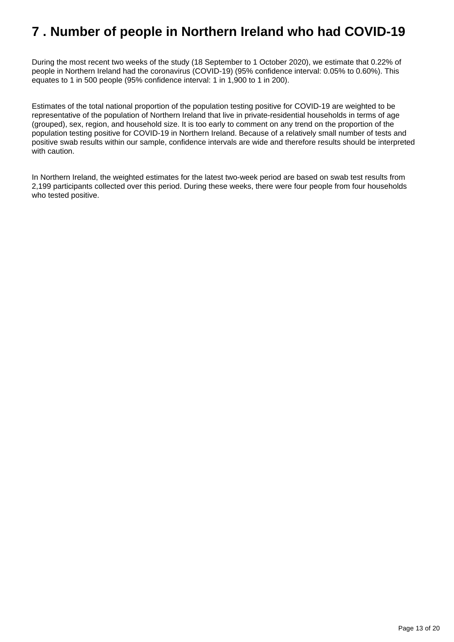## <span id="page-12-0"></span>**7 . Number of people in Northern Ireland who had COVID-19**

During the most recent two weeks of the study (18 September to 1 October 2020), we estimate that 0.22% of people in Northern Ireland had the coronavirus (COVID-19) (95% confidence interval: 0.05% to 0.60%). This equates to 1 in 500 people (95% confidence interval: 1 in 1,900 to 1 in 200).

Estimates of the total national proportion of the population testing positive for COVID-19 are weighted to be representative of the population of Northern Ireland that live in private-residential households in terms of age (grouped), sex, region, and household size. It is too early to comment on any trend on the proportion of the population testing positive for COVID-19 in Northern Ireland. Because of a relatively small number of tests and positive swab results within our sample, confidence intervals are wide and therefore results should be interpreted with caution.

In Northern Ireland, the weighted estimates for the latest two-week period are based on swab test results from 2,199 participants collected over this period. During these weeks, there were four people from four households who tested positive.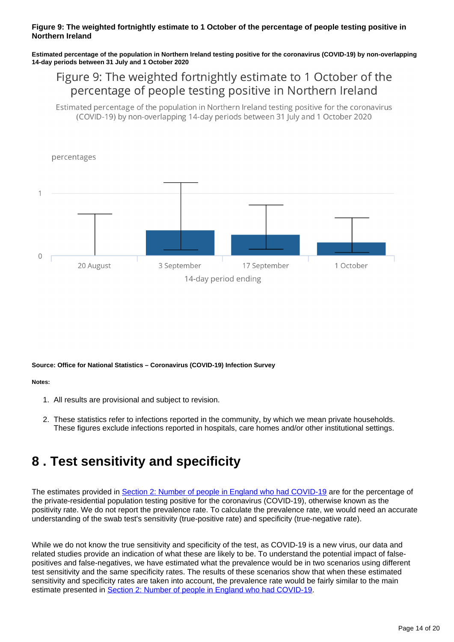#### **Figure 9: The weighted fortnightly estimate to 1 October of the percentage of people testing positive in Northern Ireland**

**Estimated percentage of the population in Northern Ireland testing positive for the coronavirus (COVID-19) by non-overlapping 14-day periods between 31 July and 1 October 2020**

## Figure 9: The weighted fortnightly estimate to 1 October of the percentage of people testing positive in Northern Ireland

Estimated percentage of the population in Northern Ireland testing positive for the coronavirus (COVID-19) by non-overlapping 14-day periods between 31 July and 1 October 2020



**Source: Office for National Statistics – Coronavirus (COVID-19) Infection Survey**

#### **Notes:**

- 1. All results are provisional and subject to revision.
- 2. These statistics refer to infections reported in the community, by which we mean private households. These figures exclude infections reported in hospitals, care homes and/or other institutional settings.

## <span id="page-13-0"></span>**8 . Test sensitivity and specificity**

The estimates provided in [Section 2: Number of people in England who had COVID-19](https://www.ons.gov.uk/peoplepopulationandcommunity/healthandsocialcare/conditionsanddiseases/bulletins/coronaviruscovid19infectionsurveypilot/englandwalesandnorthernireland2october2020#number-of-people-in-england-who-had-covid-19) are for the percentage of the private-residential population testing positive for the coronavirus (COVID-19), otherwise known as the positivity rate. We do not report the prevalence rate. To calculate the prevalence rate, we would need an accurate understanding of the swab test's sensitivity (true-positive rate) and specificity (true-negative rate).

While we do not know the true sensitivity and specificity of the test, as COVID-19 is a new virus, our data and related studies provide an indication of what these are likely to be. To understand the potential impact of falsepositives and false-negatives, we have estimated what the prevalence would be in two scenarios using different test sensitivity and the same specificity rates. The results of these scenarios show that when these estimated sensitivity and specificity rates are taken into account, the prevalence rate would be fairly similar to the main estimate presented in [Section 2: Number of people in England who had COVID-19.](https://www.ons.gov.uk/peoplepopulationandcommunity/healthandsocialcare/conditionsanddiseases/bulletins/coronaviruscovid19infectionsurveypilot/englandwalesandnorthernireland2october2020#number-of-people-in-england-who-had-covid-19)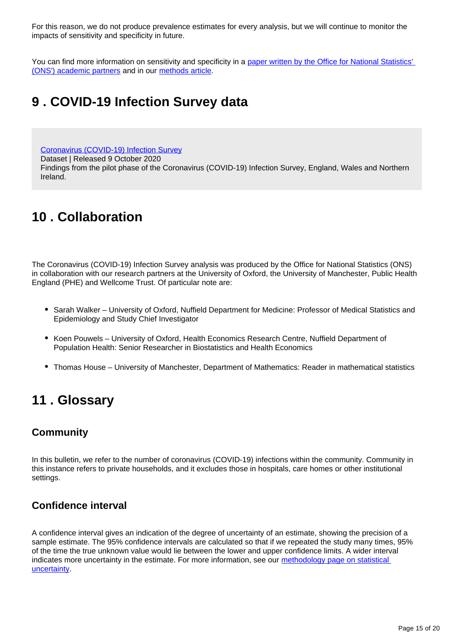For this reason, we do not produce prevalence estimates for every analysis, but we will continue to monitor the impacts of sensitivity and specificity in future.

You can find more information on sensitivity and specificity in a paper written by the Office for National Statistics' [\(ONS'\) academic partners](https://www.medrxiv.org/content/10.1101/2020.07.06.20147348v1) and in our [methods article](https://www.ons.gov.uk/peoplepopulationandcommunity/healthandsocialcare/conditionsanddiseases/methodologies/covid19infectionsurveypilotmethodsandfurtherinformation#test-sensitivity-and-specificity).

## <span id="page-14-0"></span>**9 . COVID-19 Infection Survey data**

[Coronavirus \(COVID-19\) Infection Survey](https://www.ons.gov.uk/peoplepopulationandcommunity/healthandsocialcare/conditionsanddiseases/datasets/coronaviruscovid19infectionsurveydata)

Dataset | Released 9 October 2020

Findings from the pilot phase of the Coronavirus (COVID-19) Infection Survey, England, Wales and Northern Ireland.

# <span id="page-14-1"></span>**10 . Collaboration**

The Coronavirus (COVID-19) Infection Survey analysis was produced by the Office for National Statistics (ONS) in collaboration with our research partners at the University of Oxford, the University of Manchester, Public Health England (PHE) and Wellcome Trust. Of particular note are:

- Sarah Walker University of Oxford, Nuffield Department for Medicine: Professor of Medical Statistics and Epidemiology and Study Chief Investigator
- Koen Pouwels University of Oxford, Health Economics Research Centre, Nuffield Department of Population Health: Senior Researcher in Biostatistics and Health Economics
- Thomas House University of Manchester, Department of Mathematics: Reader in mathematical statistics

## <span id="page-14-2"></span>**11 . Glossary**

### **Community**

In this bulletin, we refer to the number of coronavirus (COVID-19) infections within the community. Community in this instance refers to private households, and it excludes those in hospitals, care homes or other institutional settings.

### **Confidence interval**

A confidence interval gives an indication of the degree of uncertainty of an estimate, showing the precision of a sample estimate. The 95% confidence intervals are calculated so that if we repeated the study many times, 95% of the time the true unknown value would lie between the lower and upper confidence limits. A wider interval indicates more uncertainty in the estimate. For more information, see our methodology page on statistical [uncertainty](https://www.ons.gov.uk/methodology/methodologytopicsandstatisticalconcepts/uncertaintyandhowwemeasureit).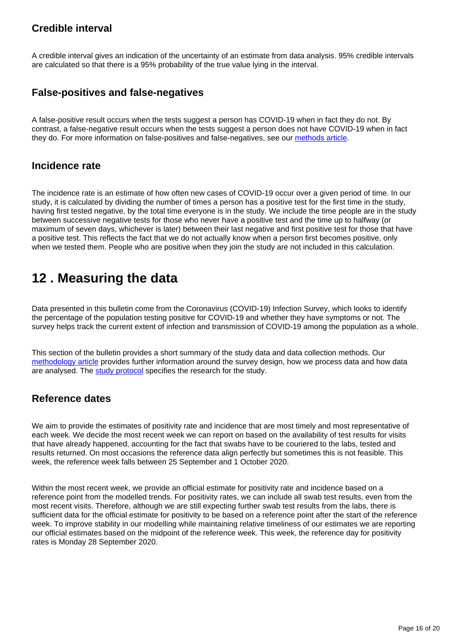### **Credible interval**

A credible interval gives an indication of the uncertainty of an estimate from data analysis. 95% credible intervals are calculated so that there is a 95% probability of the true value lying in the interval.

### **False-positives and false-negatives**

A false-positive result occurs when the tests suggest a person has COVID-19 when in fact they do not. By contrast, a false-negative result occurs when the tests suggest a person does not have COVID-19 when in fact they do. For more information on false-positives and false-negatives, see our [methods article](https://www.ons.gov.uk/peoplepopulationandcommunity/healthandsocialcare/conditionsanddiseases/methodologies/covid19infectionsurveypilotmethodsandfurtherinformation#test-sensitivity-and-specificity).

### **Incidence rate**

The incidence rate is an estimate of how often new cases of COVID-19 occur over a given period of time. In our study, it is calculated by dividing the number of times a person has a positive test for the first time in the study, having first tested negative, by the total time everyone is in the study. We include the time people are in the study between successive negative tests for those who never have a positive test and the time up to halfway (or maximum of seven days, whichever is later) between their last negative and first positive test for those that have a positive test. This reflects the fact that we do not actually know when a person first becomes positive, only when we tested them. People who are positive when they join the study are not included in this calculation.

## <span id="page-15-0"></span>**12 . Measuring the data**

Data presented in this bulletin come from the Coronavirus (COVID-19) Infection Survey, which looks to identify the percentage of the population testing positive for COVID-19 and whether they have symptoms or not. The survey helps track the current extent of infection and transmission of COVID-19 among the population as a whole.

This section of the bulletin provides a short summary of the study data and data collection methods. Our [methodology article](https://www.ons.gov.uk/peoplepopulationandcommunity/healthandsocialcare/conditionsanddiseases/methodologies/covid19infectionsurveypilotmethodsandfurtherinformation) provides further information around the survey design, how we process data and how data are analysed. The [study protocol](https://www.ndm.ox.ac.uk/covid-19/covid-19-infection-survey/protocol-and-information-sheets) specifies the research for the study.

### **Reference dates**

We aim to provide the estimates of positivity rate and incidence that are most timely and most representative of each week. We decide the most recent week we can report on based on the availability of test results for visits that have already happened, accounting for the fact that swabs have to be couriered to the labs, tested and results returned. On most occasions the reference data align perfectly but sometimes this is not feasible. This week, the reference week falls between 25 September and 1 October 2020.

Within the most recent week, we provide an official estimate for positivity rate and incidence based on a reference point from the modelled trends. For positivity rates, we can include all swab test results, even from the most recent visits. Therefore, although we are still expecting further swab test results from the labs, there is sufficient data for the official estimate for positivity to be based on a reference point after the start of the reference week. To improve stability in our modelling while maintaining relative timeliness of our estimates we are reporting our official estimates based on the midpoint of the reference week. This week, the reference day for positivity rates is Monday 28 September 2020.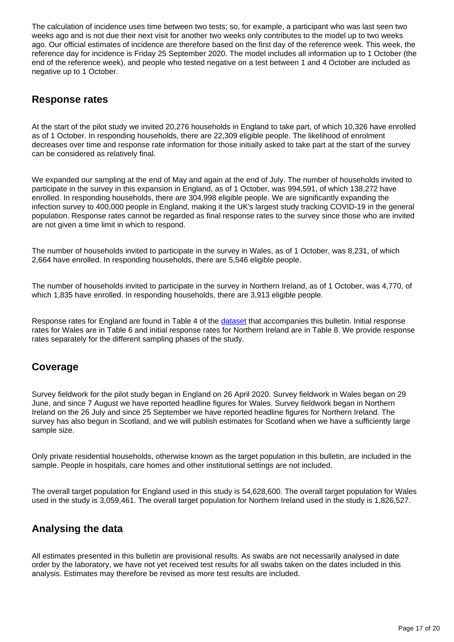The calculation of incidence uses time between two tests; so, for example, a participant who was last seen two weeks ago and is not due their next visit for another two weeks only contributes to the model up to two weeks ago. Our official estimates of incidence are therefore based on the first day of the reference week. This week, the reference day for incidence is Friday 25 September 2020. The model includes all information up to 1 October (the end of the reference week), and people who tested negative on a test between 1 and 4 October are included as negative up to 1 October.

### **Response rates**

At the start of the pilot study we invited 20,276 households in England to take part, of which 10,326 have enrolled as of 1 October. In responding households, there are 22,309 eligible people. The likelihood of enrolment decreases over time and response rate information for those initially asked to take part at the start of the survey can be considered as relatively final.

We expanded our sampling at the end of May and again at the end of July. The number of households invited to participate in the survey in this expansion in England, as of 1 October, was 994,591, of which 138,272 have enrolled. In responding households, there are 304,998 eligible people. We are significantly expanding the infection survey to 400,000 people in England, making it the UK's largest study tracking COVID-19 in the general population. Response rates cannot be regarded as final response rates to the survey since those who are invited are not given a time limit in which to respond.

The number of households invited to participate in the survey in Wales, as of 1 October, was 8,231, of which 2,664 have enrolled. In responding households, there are 5,546 eligible people.

The number of households invited to participate in the survey in Northern Ireland, as of 1 October, was 4,770, of which 1,835 have enrolled. In responding households, there are 3,913 eligible people.

Response rates for England are found in Table 4 of the [dataset](https://www.ons.gov.uk/peoplepopulationandcommunity/healthandsocialcare/conditionsanddiseases/datasets/coronaviruscovid19infectionsurveydata) that accompanies this bulletin. Initial response rates for Wales are in Table 6 and initial response rates for Northern Ireland are in Table 8. We provide response rates separately for the different sampling phases of the study.

### **Coverage**

Survey fieldwork for the pilot study began in England on 26 April 2020. Survey fieldwork in Wales began on 29 June, and since 7 August we have reported headline figures for Wales. Survey fieldwork began in Northern Ireland on the 26 July and since 25 September we have reported headline figures for Northern Ireland. The survey has also begun in Scotland, and we will publish estimates for Scotland when we have a sufficiently large sample size.

Only private residential households, otherwise known as the target population in this bulletin, are included in the sample. People in hospitals, care homes and other institutional settings are not included.

The overall target population for England used in this study is 54,628,600. The overall target population for Wales used in the study is 3,059,461. The overall target population for Northern Ireland used in the study is 1,826,527.

## **Analysing the data**

All estimates presented in this bulletin are provisional results. As swabs are not necessarily analysed in date order by the laboratory, we have not yet received test results for all swabs taken on the dates included in this analysis. Estimates may therefore be revised as more test results are included.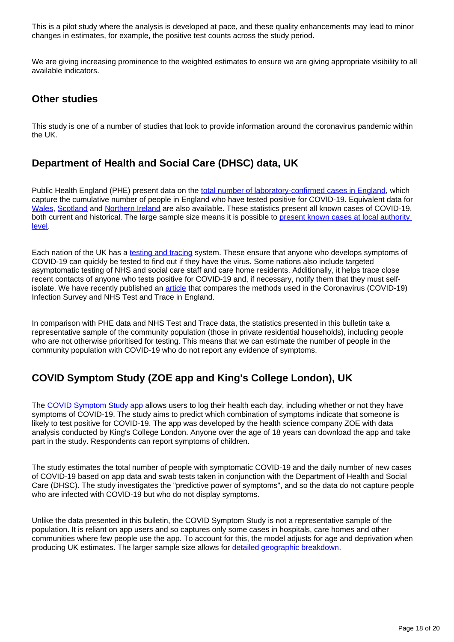This is a pilot study where the analysis is developed at pace, and these quality enhancements may lead to minor changes in estimates, for example, the positive test counts across the study period.

We are giving increasing prominence to the weighted estimates to ensure we are giving appropriate visibility to all available indicators.

### **Other studies**

This study is one of a number of studies that look to provide information around the coronavirus pandemic within the UK.

### **Department of Health and Social Care (DHSC) data, UK**

Public Health England (PHE) present data on the [total number of laboratory-confirmed cases in England,](https://www.gov.uk/government/publications/national-covid-19-surveillance-reports) which capture the cumulative number of people in England who have tested positive for COVID-19. Equivalent data for [Wales,](https://public.tableau.com/profile/public.health.wales.health.protection#!/vizhome/RapidCOVID-19virology-Public/Headlinesummary) [Scotland](https://www.gov.scot/publications/coronavirus-covid-19-daily-data-for-scotland/) and [Northern Ireland](https://app.powerbi.com/view?r=eyJrIjoiZGYxNjYzNmUtOTlmZS00ODAxLWE1YTEtMjA0NjZhMzlmN2JmIiwidCI6IjljOWEzMGRlLWQ4ZDctNGFhNC05NjAwLTRiZTc2MjVmZjZjNSIsImMiOjh9) are also available. These statistics present all known cases of COVID-19, both current and historical. The large sample size means it is possible to present known cases at local authority [level.](https://coronavirus.data.gov.uk/#category=ltlas&map=rate)

Each nation of the UK has a [testing and tracing](https://www.gov.uk/government/publications/nhs-test-and-trace-statistics-england-25-june-to-1-july-2020) system. These ensure that anyone who develops symptoms of COVID-19 can quickly be tested to find out if they have the virus. Some nations also include targeted asymptomatic testing of NHS and social care staff and care home residents. Additionally, it helps trace close recent contacts of anyone who tests positive for COVID-19 and, if necessary, notify them that they must selfisolate. We have recently published an [article](https://www.ons.gov.uk/peoplepopulationandcommunity/healthandsocialcare/conditionsanddiseases/articles/comparingmethodsusedinthecoronaviruscovid19infectionsurveyandnhstestandtraceengland/october2020) that compares the methods used in the Coronavirus (COVID-19) Infection Survey and NHS Test and Trace in England.

In comparison with PHE data and NHS Test and Trace data, the statistics presented in this bulletin take a representative sample of the community population (those in private residential households), including people who are not otherwise prioritised for testing. This means that we can estimate the number of people in the community population with COVID-19 who do not report any evidence of symptoms.

## **COVID Symptom Study (ZOE app and King's College London), UK**

The [COVID Symptom Study app](https://covid.joinzoe.com/) allows users to log their health each day, including whether or not they have symptoms of COVID-19. The study aims to predict which combination of symptoms indicate that someone is likely to test positive for COVID-19. The app was developed by the health science company ZOE with data analysis conducted by King's College London. Anyone over the age of 18 years can download the app and take part in the study. Respondents can report symptoms of children.

The study estimates the total number of people with symptomatic COVID-19 and the daily number of new cases of COVID-19 based on app data and swab tests taken in conjunction with the Department of Health and Social Care (DHSC). The study investigates the "predictive power of symptoms", and so the data do not capture people who are infected with COVID-19 but who do not display symptoms.

Unlike the data presented in this bulletin, the COVID Symptom Study is not a representative sample of the population. It is reliant on app users and so captures only some cases in hospitals, care homes and other communities where few people use the app. To account for this, the model adjusts for age and deprivation when producing UK estimates. The larger sample size allows for [detailed geographic breakdown.](https://covid.joinzoe.com/data)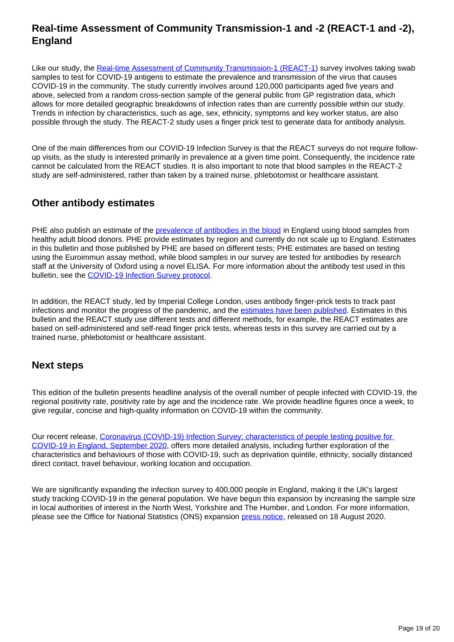### **Real-time Assessment of Community Transmission-1 and -2 (REACT-1 and -2), England**

Like our study, the [Real-time Assessment of Community Transmission-1 \(REACT-1\)](https://www.medrxiv.org/content/10.1101/2020.09.11.20192492v2) survey involves taking swab samples to test for COVID-19 antigens to estimate the prevalence and transmission of the virus that causes COVID-19 in the community. The study currently involves around 120,000 participants aged five years and above, selected from a random cross-section sample of the general public from GP registration data, which allows for more detailed geographic breakdowns of infection rates than are currently possible within our study. Trends in infection by characteristics, such as age, sex, ethnicity, symptoms and key worker status, are also possible through the study. The REACT-2 study uses a finger prick test to generate data for antibody analysis.

One of the main differences from our COVID-19 Infection Survey is that the REACT surveys do not require followup visits, as the study is interested primarily in prevalence at a given time point. Consequently, the incidence rate cannot be calculated from the REACT studies. It is also important to note that blood samples in the REACT-2 study are self-administered, rather than taken by a trained nurse, phlebotomist or healthcare assistant.

### **Other antibody estimates**

PHE also publish an estimate of the [prevalence of antibodies in the blood](https://www.gov.uk/government/publications/national-covid-19-surveillance-reports/sero-surveillance-of-covid-19) in England using blood samples from healthy adult blood donors. PHE provide estimates by region and currently do not scale up to England. Estimates in this bulletin and those published by PHE are based on different tests; PHE estimates are based on testing using the Euroimmun assay method, while blood samples in our survey are tested for antibodies by research staff at the University of Oxford using a novel ELISA. For more information about the antibody test used in this bulletin, see the [COVID-19 Infection Survey protocol.](https://www.ndm.ox.ac.uk/protocol-and-information-sheets)

In addition, the REACT study, led by Imperial College London, uses antibody finger-prick tests to track past infections and monitor the progress of the pandemic, and the [estimates have been published.](https://www.imperial.ac.uk/news/201893/largest-study-home-coronavirus-antibody-testing/) Estimates in this bulletin and the REACT study use different tests and different methods, for example, the REACT estimates are based on self-administered and self-read finger prick tests, whereas tests in this survey are carried out by a trained nurse, phlebotomist or healthcare assistant.

### **Next steps**

This edition of the bulletin presents headline analysis of the overall number of people infected with COVID-19, the regional positivity rate, positivity rate by age and the incidence rate. We provide headline figures once a week, to give regular, concise and high-quality information on COVID-19 within the community.

Our recent release, [Coronavirus \(COVID-19\) Infection Survey: characteristics of people testing positive for](https://www.ons.gov.uk/peoplepopulationandcommunity/healthandsocialcare/conditionsanddiseases/articles/coronaviruscovid19infectionsinthecommunityinengland/characteristicsofpeopletestingpositiveforcovid19inenglandseptember2020)  [COVID-19 in England, September 2020,](https://www.ons.gov.uk/peoplepopulationandcommunity/healthandsocialcare/conditionsanddiseases/articles/coronaviruscovid19infectionsinthecommunityinengland/characteristicsofpeopletestingpositiveforcovid19inenglandseptember2020) offers more detailed analysis, including further exploration of the characteristics and behaviours of those with COVID-19, such as deprivation quintile, ethnicity, socially distanced direct contact, travel behaviour, working location and occupation.

We are significantly expanding the infection survey to 400,000 people in England, making it the UK's largest study tracking COVID-19 in the general population. We have begun this expansion by increasing the sample size in local authorities of interest in the North West, Yorkshire and The Humber, and London. For more information, please see the Office for National Statistics (ONS) expansion [press notice,](https://www.ons.gov.uk/news/news/newinsightintocovid19tobegainedfromhugeboosttonationaltestingstudyledbytheofficefornationalstatistics) released on 18 August 2020.